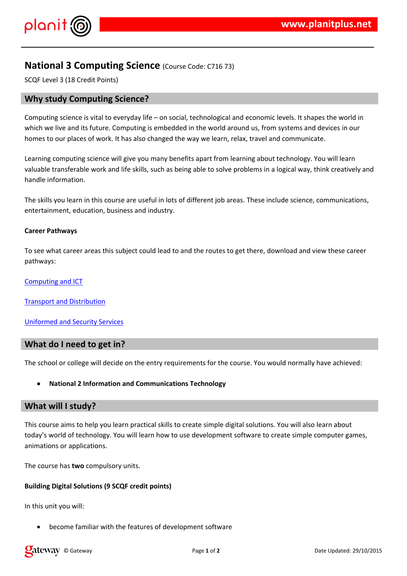# $!$  # \$ % & ' '(

)  $'$  ( \*' (\*\$'' %\$ %+ (\*' %\*,-( % '\* % (()'\* %\$ %-. - %(  $-1$ \*- %'\$'<br>  $-$  %'\$' + 0.000 (0.000 ) (<br>  $-$  ) % \* / - 1.3% ( - % (% 2, (\$\*%) ('\*  $\mathbb{S}^{\prime}$  \*

# ('( \* ) '( \* "%% ' $$$  ( 0 ( ' % )('( 0 \* -(% . 3 0 % a  $\cdot$  1 '% % , 0 '0 % % % % % % ( % , '-\*' (% '\$ %  $$ \%$  0%  $\sqrt{2}$  $-$  ( % '( ) ' (.

4 - 1'%% % ('( -'%% ' ( 5 0 4 - '(\*%\*' (\* , \* )) ('\* '<br>( '() ( , \* ' (, 0 '( ( '( )

4 - \* 05-\* \*%% ( - - , (% ( \$' -

 $\left( \begin{array}{cc} 1 & 1 \\ 0 & 1 \end{array} \right)$ 

 $4$  (  $\qquad$   $\qquad$   $\qquad$   $\qquad$   $\qquad$   $\qquad$   $\qquad$   $\qquad$   $\qquad$   $\qquad$   $\qquad$   $\qquad$   $\qquad$   $\qquad$   $\qquad$   $\qquad$   $\qquad$   $\qquad$   $\qquad$   $\qquad$   $\qquad$   $\qquad$   $\qquad$   $\qquad$   $\qquad$   $\qquad$   $\qquad$   $\qquad$   $\qquad$   $\qquad$   $\qquad$   $\qquad$   $\qquad$   $\qquad$   $\qquad$   $\qquad$ 

 $(1)$   $($   $*$   $1$   $S1*$ 

 $4 - * -$  % % % % %  $*$  ( - ( 6 ') (  $\sim$   $\star$   $\sim$  3

 $(')$  ' (  $\%$ '\* ' ( .

 $4 - * - * )$  % ('.

 $"#$  $\sim 10^{-10}$  M  $_{\odot}$  $$%$  $\sim$  8.

 $1($  -'  $($  '% %

 $0$  \* ) ) '%' ' - - \$ % ) (